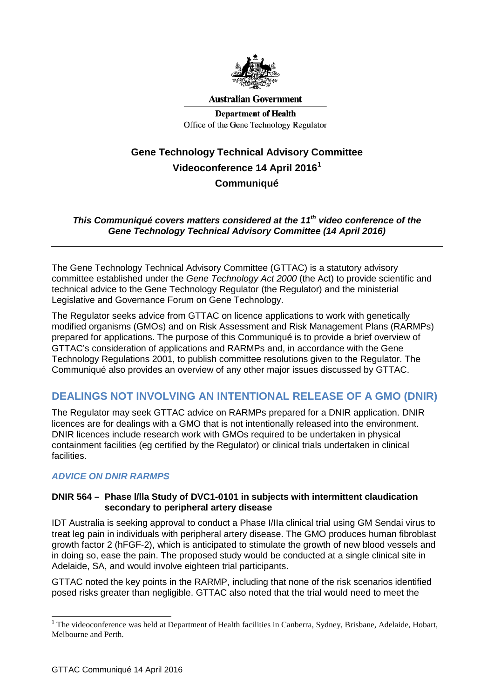

**Australian Government** 

**Department of Health** Office of the Gene Technology Regulator

# **Gene Technology Technical Advisory Committee Videoconference 14 April 2016[1](#page-0-0) Communiqué**

#### *This Communiqué covers matters considered at the 11th video conference of the Gene Technology Technical Advisory Committee (14 April 2016)*

The Gene Technology Technical Advisory Committee (GTTAC) is a statutory advisory committee established under the *Gene Technology Act 2000* (the Act) to provide scientific and technical advice to the Gene Technology Regulator (the Regulator) and the ministerial Legislative and Governance Forum on Gene Technology.

The Regulator seeks advice from GTTAC on licence applications to work with genetically modified organisms (GMOs) and on Risk Assessment and Risk Management Plans (RARMPs) prepared for applications. The purpose of this Communiqué is to provide a brief overview of GTTAC's consideration of applications and RARMPs and, in accordance with the Gene Technology Regulations 2001, to publish committee resolutions given to the Regulator. The Communiqué also provides an overview of any other major issues discussed by GTTAC.

# **DEALINGS NOT INVOLVING AN INTENTIONAL RELEASE OF A GMO (DNIR)**

The Regulator may seek GTTAC advice on RARMPs prepared for a DNIR application. DNIR licences are for dealings with a GMO that is not intentionally released into the environment. DNIR licences include research work with GMOs required to be undertaken in physical containment facilities (eg certified by the Regulator) or clinical trials undertaken in clinical facilities.

### *ADVICE ON DNIR RARMPS*

#### **DNIR 564 – Phase l/lla Study of DVC1-0101 in subjects with intermittent claudication secondary to peripheral artery disease**

IDT Australia is seeking approval to conduct a Phase I/IIa clinical trial using GM Sendai virus to treat leg pain in individuals with peripheral artery disease. The GMO produces human fibroblast growth factor 2 (hFGF-2), which is anticipated to stimulate the growth of new blood vessels and in doing so, ease the pain. The proposed study would be conducted at a single clinical site in Adelaide, SA, and would involve eighteen trial participants.

GTTAC noted the key points in the RARMP, including that none of the risk scenarios identified posed risks greater than negligible. GTTAC also noted that the trial would need to meet the

 $\overline{a}$ 

<span id="page-0-0"></span> $1$  The videoconference was held at Department of Health facilities in Canberra, Sydney, Brisbane, Adelaide, Hobart, Melbourne and Perth.